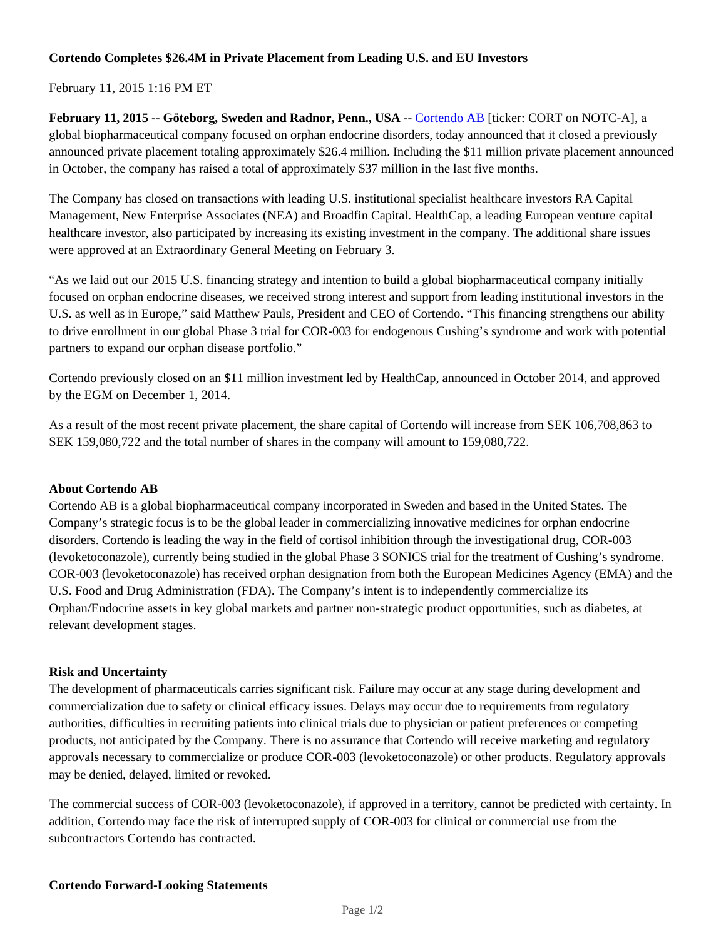# **Cortendo Completes \$26.4M in Private Placement from Leading U.S. and EU Investors**

# February 11, 2015 1:16 PM ET

**February 11, 2015 -- Göteborg, Sweden and Radnor, Penn., USA --** Cortendo AB [ticker: CORT on NOTC-A], a global biopharmaceutical company focused on orphan endocrine disorders, today announced that it closed a previously announced private placement totaling approximately \$26.4 million. Including the \$11 million private placement announced in October, the company has raised a total of approximately \$37 million in the last five months.

The Company has closed on transactions with leading U.S. institutional specialist healthcare investors RA Capital Management, New Enterprise Associates (NEA) and Broadfin Capital. HealthCap, a leading European venture capital healthcare investor, also participated by increasing its existing investment in the company. The additional share issues were approved at an Extraordinary General Meeting on February 3.

"As we laid out our 2015 U.S. financing strategy and intention to build a global biopharmaceutical company initially focused on orphan endocrine diseases, we received strong interest and support from leading institutional investors in the U.S. as well as in Europe," said Matthew Pauls, President and CEO of Cortendo. "This financing strengthens our ability to drive enrollment in our global Phase 3 trial for COR-003 for endogenous Cushing's syndrome and work with potential partners to expand our orphan disease portfolio."

Cortendo previously closed on an \$11 million investment led by HealthCap, announced in October 2014, and approved by the EGM on December 1, 2014.

As a result of the most recent private placement, the share capital of Cortendo will increase from SEK 106,708,863 to SEK 159,080,722 and the total number of shares in the company will amount to 159,080,722.

## **About Cortendo AB**

Cortendo AB is a global biopharmaceutical company incorporated in Sweden and based in the United States. The Company's strategic focus is to be the global leader in commercializing innovative medicines for orphan endocrine disorders. Cortendo is leading the way in the field of cortisol inhibition through the investigational drug, COR-003 (levoketoconazole), currently being studied in the global Phase 3 SONICS trial for the treatment of Cushing's syndrome. COR-003 (levoketoconazole) has received orphan designation from both the European Medicines Agency (EMA) and the U.S. Food and Drug Administration (FDA). The Company's intent is to independently commercialize its Orphan/Endocrine assets in key global markets and partner non-strategic product opportunities, such as diabetes, at relevant development stages.

## **Risk and Uncertainty**

The development of pharmaceuticals carries significant risk. Failure may occur at any stage during development and commercialization due to safety or clinical efficacy issues. Delays may occur due to requirements from regulatory authorities, difficulties in recruiting patients into clinical trials due to physician or patient preferences or competing products, not anticipated by the Company. There is no assurance that Cortendo will receive marketing and regulatory approvals necessary to commercialize or produce COR-003 (levoketoconazole) or other products. Regulatory approvals may be denied, delayed, limited or revoked.

The commercial success of COR-003 (levoketoconazole), if approved in a territory, cannot be predicted with certainty. In addition, Cortendo may face the risk of interrupted supply of COR-003 for clinical or commercial use from the subcontractors Cortendo has contracted.